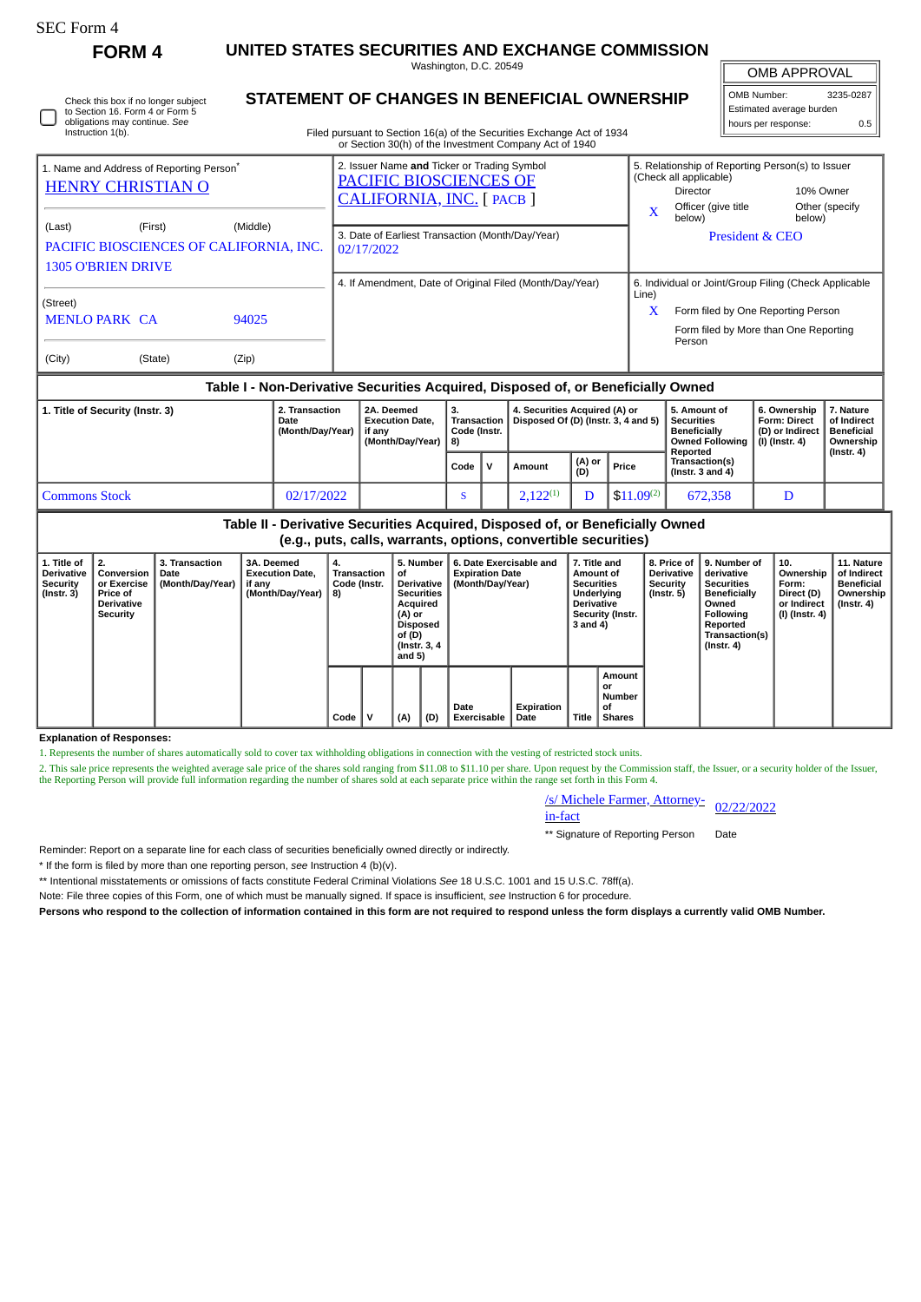| rorm |
|------|
|------|

**FORM 4 UNITED STATES SECURITIES AND EXCHANGE COMMISSION**

|                                                                                                                              |          | Washington, D.C. 20549                                                                                                                                                                  | <b>OMB APPROVAL</b>                                                                |                                                                                                               |  |
|------------------------------------------------------------------------------------------------------------------------------|----------|-----------------------------------------------------------------------------------------------------------------------------------------------------------------------------------------|------------------------------------------------------------------------------------|---------------------------------------------------------------------------------------------------------------|--|
| Check this box if no longer subject<br>to Section 16. Form 4 or Form 5<br>obligations may continue. See<br>Instruction 1(b). |          | <b>STATEMENT OF CHANGES IN BENEFICIAL OWNERSHIP</b><br>Filed pursuant to Section 16(a) of the Securities Exchange Act of 1934<br>or Section 30(h) of the Investment Company Act of 1940 |                                                                                    | 3235-0287<br>OMB Number:<br>Estimated average burden<br>0.5<br>hours per response:                            |  |
| 1. Name and Address of Reporting Person <sup>®</sup><br><b>HENRY CHRISTIAN O</b><br>(Last)<br>(First)                        | (Middle) | 2. Issuer Name and Ticker or Trading Symbol<br>PACIFIC BIOSCIENCES OF<br>CALIFORNIA, INC. [PACB]<br>3. Date of Earliest Transaction (Month/Day/Year)                                    | (Check all applicable)<br>Director<br>Officer (give title<br>$\mathbf x$<br>below) | 5. Relationship of Reporting Person(s) to Issuer<br>10% Owner<br>Other (specify)<br>below)<br>President & CEO |  |
| PACIFIC BIOSCIENCES OF CALIFORNIA, INC.<br><b>1305 O'BRIEN DRIVE</b>                                                         |          | 02/17/2022<br>4. If Amendment, Date of Original Filed (Month/Day/Year)                                                                                                                  |                                                                                    | 6. Individual or Joint/Group Filing (Check Applicable                                                         |  |
| (Street)<br><b>MENLO PARK CA</b>                                                                                             | 94025    |                                                                                                                                                                                         | Line)<br>x<br>Person                                                               | Form filed by One Reporting Person<br>Form filed by More than One Reporting                                   |  |

| (City) | (State) |  |
|--------|---------|--|

 $(Zip)$ 

## **Table I - Non-Derivative Securities Acquired, Disposed of, or Beneficially Owned**

| 1. Title of Security (Instr. 3) | 2. Transaction<br>Date<br>(Month/Day/Year) | 2A. Deemed<br><b>Execution Date.</b><br>if anv<br>(Month/Dav/Year) 8) | з.<br><b>Transaction</b><br>Code (Instr. |  | 4. Securities Acquired (A) or<br>Disposed Of (D) (Instr. 3, 4 and 5) |               |                | 5. Amount of<br>Securities<br><b>Beneficially</b><br>Owned Followina<br>Reported | 6. Ownership<br><b>Form: Direct</b><br>(D) or Indirect<br>(I) (Instr. 4) | 7. Nature<br>of Indirect<br><b>Beneficial</b><br>Ownership<br>$($ Instr. 4 $)$ |  |
|---------------------------------|--------------------------------------------|-----------------------------------------------------------------------|------------------------------------------|--|----------------------------------------------------------------------|---------------|----------------|----------------------------------------------------------------------------------|--------------------------------------------------------------------------|--------------------------------------------------------------------------------|--|
|                                 |                                            |                                                                       | Code                                     |  | Amount                                                               | (A) or<br>(D) | Price          | Transaction(s)<br>(Instr. $3$ and $4$ )                                          |                                                                          |                                                                                |  |
| <b>Commons Stock</b>            | 02/17/2022                                 |                                                                       | - 1                                      |  | $2.122^{(1)}$                                                        |               | $$11.09^{(2)}$ | 672,358                                                                          | D                                                                        |                                                                                |  |

| Table II - Derivative Securities Acquired, Disposed of, or Beneficially Owned<br>(e.g., puts, calls, warrants, options, convertible securities) |                                                                                                                            |  |                                                                    |                                         |  |                                                                                                                           |     |                                                                       |                    |                                                                                                                   |                                               |                                                                  |                                                                                                                                                |                                                                          |                                                                                 |
|-------------------------------------------------------------------------------------------------------------------------------------------------|----------------------------------------------------------------------------------------------------------------------------|--|--------------------------------------------------------------------|-----------------------------------------|--|---------------------------------------------------------------------------------------------------------------------------|-----|-----------------------------------------------------------------------|--------------------|-------------------------------------------------------------------------------------------------------------------|-----------------------------------------------|------------------------------------------------------------------|------------------------------------------------------------------------------------------------------------------------------------------------|--------------------------------------------------------------------------|---------------------------------------------------------------------------------|
| 1. Title of<br><b>Derivative</b><br>Security<br>(Instr. 3)                                                                                      | 3. Transaction<br>2.<br>Conversion<br>Date<br>(Month/Day/Year)<br>or Exercise<br>Price of<br><b>Derivative</b><br>Security |  | 3A. Deemed<br><b>Execution Date.</b><br>if any<br>(Month/Day/Year) | 4.<br>Transaction<br>Code (Instr.<br>8) |  | 5. Number<br>οf<br>Derivative<br><b>Securities</b><br>Acquired<br>(A) or<br>Disposed<br>of (D)<br>(Instr. 3, 4)<br>and 5) |     | 6. Date Exercisable and<br><b>Expiration Date</b><br>(Month/Day/Year) |                    | 7. Title and<br>Amount of<br><b>Securities</b><br>Underlying<br><b>Derivative</b><br>Security (Instr.<br>3 and 4) |                                               | 8. Price of<br><b>Derivative</b><br>Security<br>$($ Instr. 5 $)$ | 9. Number of<br>derivative<br><b>Securities</b><br><b>Beneficially</b><br>Owned<br>Followina<br>Reported<br>Transaction(s)<br>$($ Instr. 4 $)$ | 10.<br>Ownership<br>Form:<br>Direct (D)<br>or Indirect<br>(I) (Instr. 4) | 11. Nature<br>of Indirect<br><b>Beneficial</b><br>Ownership<br>$($ Instr. 4 $)$ |
|                                                                                                                                                 |                                                                                                                            |  |                                                                    | Code                                    |  | (A)                                                                                                                       | (D) | Date<br><b>Exercisable</b>                                            | Expiration<br>Date | Title                                                                                                             | Amount<br>or<br>Number<br>οf<br><b>Shares</b> |                                                                  |                                                                                                                                                |                                                                          |                                                                                 |

## **Explanation of Responses:**

1. Represents the number of shares automatically sold to cover tax withholding obligations in connection with the vesting of restricted stock units.

2. This sale price represents the weighted average sale price of the shares sold ranging from \$11.08 to \$11.10 per share. Upon request by the Commission staff, the Issuer, or a security holder of the Issuer, the Reporting Person will provide full information regarding the number of shares sold at each separate price within the range set forth in this Form 4.

/s/ Michele Farmer, Attorney-<br>in-fact

\*\* Signature of Reporting Person Date

Reminder: Report on a separate line for each class of securities beneficially owned directly or indirectly.

\* If the form is filed by more than one reporting person, *see* Instruction 4 (b)(v).

\*\* Intentional misstatements or omissions of facts constitute Federal Criminal Violations *See* 18 U.S.C. 1001 and 15 U.S.C. 78ff(a).

Note: File three copies of this Form, one of which must be manually signed. If space is insufficient, *see* Instruction 6 for procedure.

**Persons who respond to the collection of information contained in this form are not required to respond unless the form displays a currently valid OMB Number.**